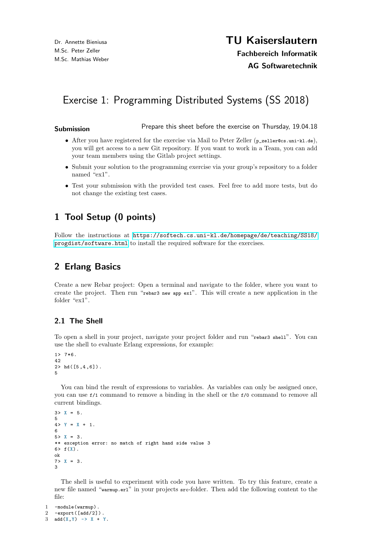# Exercise 1: Programming Distributed Systems (SS 2018)

Submission **Submission** Prepare this sheet before the exercise on Thursday, 19.04.18

- After you have registered for the exercise via Mail to Peter Zeller (p\_zeller@cs.uni-kl.de), you will get access to a new Git repository. If you want to work in a Team, you can add your team members using the Gitlab project settings.
- Submit your solution to the programming exercise via your group's repository to a folder named "ex1".
- Test your submission with the provided test cases. Feel free to add more tests, but do not change the existing test cases.

## 1 Tool Setup (0 points)

Follow the instructions at [https://softech.cs.uni-kl.de/homepage/de/teaching/SS18/](https://softech.cs.uni-kl.de/homepage/de/teaching/SS18/progdist/software.html) [progdist/software.html](https://softech.cs.uni-kl.de/homepage/de/teaching/SS18/progdist/software.html) to install the required software for the exercises.

## 2 Erlang Basics

Create a new Rebar project: Open a terminal and navigate to the folder, where you want to create the project. Then run "rebar3 new app ex1". This will create a new application in the folder "ex1".

### 2.1 The Shell

To open a shell in your project, navigate your project folder and run "rebar3 shell". You can use the shell to evaluate Erlang expressions, for example:

```
1 > 7*6.
42
2 > hd([5,4,6]).
5
```
You can bind the result of expressions to variables. As variables can only be assigned once, you can use f/1 command to remove a binding in the shell or the f/0 command to remove all current bindings.

```
3 > X = 5.
5
4 > Y = X + 1.
6
5 > X = 3.
** exception error: no match of right hand side value 3
6> f(X).
ok
7 > X = 3.
3
```
The shell is useful to experiment with code you have written. To try this feature, create a new file named "warmup.erl" in your projects src-folder. Then add the following content to the file:

```
1 -module(warmup).
2 -export([add/2]) .
3 add(X, Y) \rightarrow X + Y.
```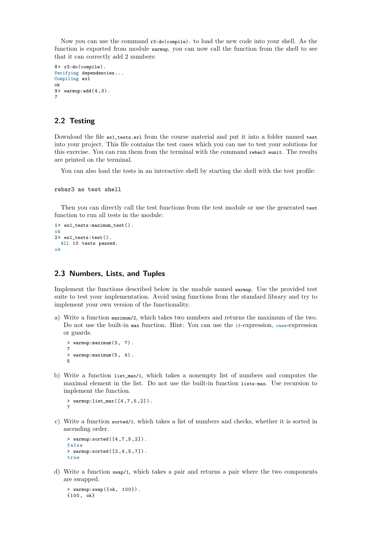Now you can use the command  $r3:do(compile)$ . to load the new code into your shell. As the function is exported from module warmup, you can now call the function from the shell to see that it can correctly add 2 numbers:

```
8> r3:do(compile).
Verifying dependencies...
Compiling ex1
ok
9> warmup:add(4 ,3) .
7
```
#### 2.2 Testing

Download the file ex1\_tests.erl from the course material and put it into a folder named test into your project. This file contains the test cases which you can use to test your solutions for this exercise. You can run them from the terminal with the command rebar3 eunit. The results are printed on the terminal.

You can also load the tests in an interactive shell by starting the shell with the test profile:

```
rebar3 as test shell
```
Then you can directly call the test functions from the test module or use the generated test function to run all tests in the module:

```
1> ex1_tests:maximum_test() .
ok
2> ex1_tests:test() .
 All 10 tests passed.
ok
```
#### 2.3 Numbers, Lists, and Tuples

Implement the functions described below in the module named warmup. Use the provided test suite to test your implementation. Avoid using functions from the standard library and try to implement your own version of the functionality.

a) Write a function maximum/2, which takes two numbers and returns the maximum of the two. Do not use the built-in max function. Hint: You can use the if-expression, case-expression or guards.

> warmup:maximum(3 , 7) . 7 > warmup: maximum (5, 4). 5

b) Write a function list\_max/1, which takes a nonempty list of numbers and computes the maximal element in the list. Do not use the built-in function lists:max. Use recursion to implement the function.

```
> warmup:list_max([4 ,7 ,5 ,2]) .
7
```
c) Write a function sorted/1, which takes a list of numbers and checks, whether it is sorted in ascending order.

```
> warmup:sorted([4 ,7 ,5 ,2]) .
false
> warmup:sorted([2 ,4 ,5 ,7]) .
true
```
d) Write a function swap/1, which takes a pair and returns a pair where the two components are swapped.

```
> warmup:swap({ok, 100}) .
{100 , ok}
```